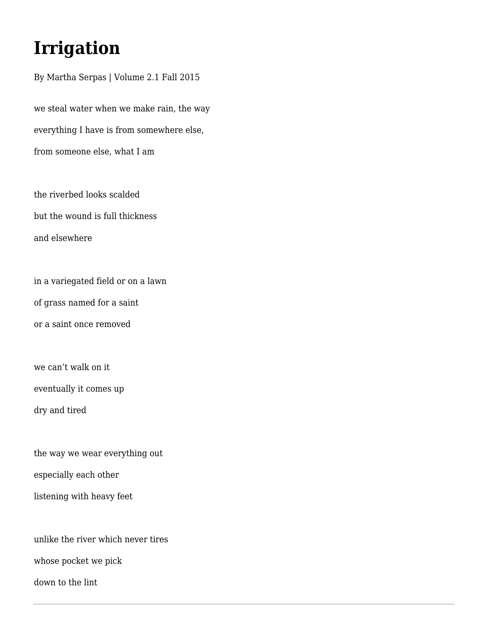## **Irrigation**

By Martha Serpas | Volume 2.1 Fall 2015 we steal water when we make rain, the way everything I have is from somewhere else, from someone else, what I am

the riverbed looks scalded but the wound is full thickness and elsewhere

in a variegated field or on a lawn of grass named for a saint or a saint once removed

we can't walk on it

eventually it comes up

dry and tired

the way we wear everything out especially each other

listening with heavy feet

unlike the river which never tires

whose pocket we pick

down to the lint